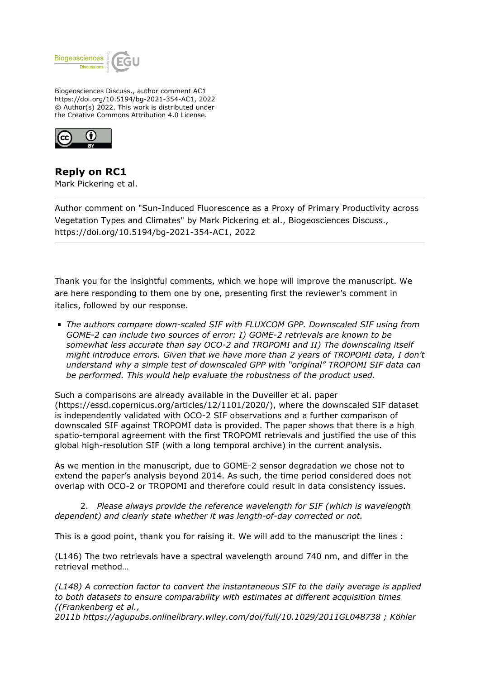

Biogeosciences Discuss., author comment AC1 https://doi.org/10.5194/bg-2021-354-AC1, 2022 © Author(s) 2022. This work is distributed under the Creative Commons Attribution 4.0 License.



**Reply on RC1** Mark Pickering et al.

Author comment on "Sun-Induced Fluorescence as a Proxy of Primary Productivity across Vegetation Types and Climates" by Mark Pickering et al., Biogeosciences Discuss., https://doi.org/10.5194/bg-2021-354-AC1, 2022

Thank you for the insightful comments, which we hope will improve the manuscript. We are here responding to them one by one, presenting first the reviewer's comment in italics, followed by our response.

*The authors compare down-scaled SIF with FLUXCOM GPP. Downscaled SIF using from GOME-2 can include two sources of error: I) GOME-2 retrievals are known to be somewhat less accurate than say OCO-2 and TROPOMI and II) The downscaling itself might introduce errors. Given that we have more than 2 years of TROPOMI data, I don't understand why a simple test of downscaled GPP with "original" TROPOMI SIF data can be performed. This would help evaluate the robustness of the product used.*

Such a comparisons are already available in the Duveiller et al. paper (https://essd.copernicus.org/articles/12/1101/2020/), where the downscaled SIF dataset is independently validated with OCO-2 SIF observations and a further comparison of downscaled SIF against TROPOMI data is provided. The paper shows that there is a high spatio-temporal agreement with the first TROPOMI retrievals and justified the use of this global high-resolution SIF (with a long temporal archive) in the current analysis.

As we mention in the manuscript, due to GOME-2 sensor degradation we chose not to extend the paper's analysis beyond 2014. As such, the time period considered does not overlap with OCO-2 or TROPOMI and therefore could result in data consistency issues.

 2. *Please always provide the reference wavelength for SIF (which is wavelength dependent) and clearly state whether it was length-of-day corrected or not.* 

This is a good point, thank you for raising it. We will add to the manuscript the lines :

(L146) The two retrievals have a spectral wavelength around 740 nm, and differ in the retrieval method…

*(L148) A correction factor to convert the instantaneous SIF to the daily average is applied to both datasets to ensure comparability with estimates at different acquisition times ((Frankenberg et al.,*

*2011b https://agupubs.onlinelibrary.wiley.com/doi/full/10.1029/2011GL048738 ; Köhler*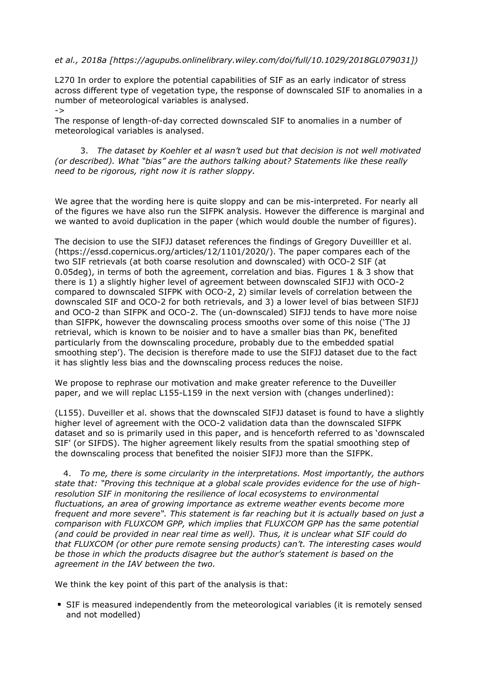## *et al., 2018a [https://agupubs.onlinelibrary.wiley.com/doi/full/10.1029/2018GL079031])*

L270 In order to explore the potential capabilities of SIF as an early indicator of stress across different type of vegetation type, the response of downscaled SIF to anomalies in a number of meteorological variables is analysed.

->

The response of length-of-day corrected downscaled SIF to anomalies in a number of meteorological variables is analysed.

3. *The dataset by Koehler et al wasn't used but that decision is not well motivated (or described). What "bias" are the authors talking about? Statements like these really need to be rigorous, right now it is rather sloppy.* 

We agree that the wording here is quite sloppy and can be mis-interpreted. For nearly all of the figures we have also run the SIFPK analysis. However the difference is marginal and we wanted to avoid duplication in the paper (which would double the number of figures).

The decision to use the SIFJJ dataset references the findings of Gregory Duveilller et al. (https://essd.copernicus.org/articles/12/1101/2020/). The paper compares each of the two SIF retrievals (at both coarse resolution and downscaled) with OCO-2 SIF (at 0.05deg), in terms of both the agreement, correlation and bias. Figures 1 & 3 show that there is 1) a slightly higher level of agreement between downscaled SIFJJ with OCO-2 compared to downscaled SIFPK with OCO-2, 2) similar levels of correlation between the downscaled SIF and OCO-2 for both retrievals, and 3) a lower level of bias between SIFJJ and OCO-2 than SIFPK and OCO-2. The (un-downscaled) SIFJJ tends to have more noise than SIFPK, however the downscaling process smooths over some of this noise ('The JJ retrieval, which is known to be noisier and to have a smaller bias than PK, benefited particularly from the downscaling procedure, probably due to the embedded spatial smoothing step'). The decision is therefore made to use the SIFJJ dataset due to the fact it has slightly less bias and the downscaling process reduces the noise.

We propose to rephrase our motivation and make greater reference to the Duveiller paper, and we will replac L155-L159 in the next version with (changes underlined):

(L155). Duveiller et al. shows that the downscaled SIFJJ dataset is found to have a slightly higher level of agreement with the OCO-2 validation data than the downscaled SIFPK dataset and so is primarily used in this paper, and is henceforth referred to as 'downscaled SIF' (or SIFDS). The higher agreement likely results from the spatial smoothing step of the downscaling process that benefited the noisier SIFJJ more than the SIFPK.

4. *To me, there is some circularity in the interpretations. Most importantly, the authors state that: "Proving this technique at a global scale provides evidence for the use of highresolution SIF in monitoring the resilience of local ecosystems to environmental fluctuations, an area of growing importance as extreme weather events become more frequent and more severe". This statement is far reaching but it is actually based on just a comparison with FLUXCOM GPP, which implies that FLUXCOM GPP has the same potential (and could be provided in near real time as well). Thus, it is unclear what SIF could do that FLUXCOM (or other pure remote sensing products) can't. The interesting cases would be those in which the products disagree but the author's statement is based on the agreement in the IAV between the two.*

We think the key point of this part of the analysis is that:

SIF is measured independently from the meteorological variables (it is remotely sensed and not modelled)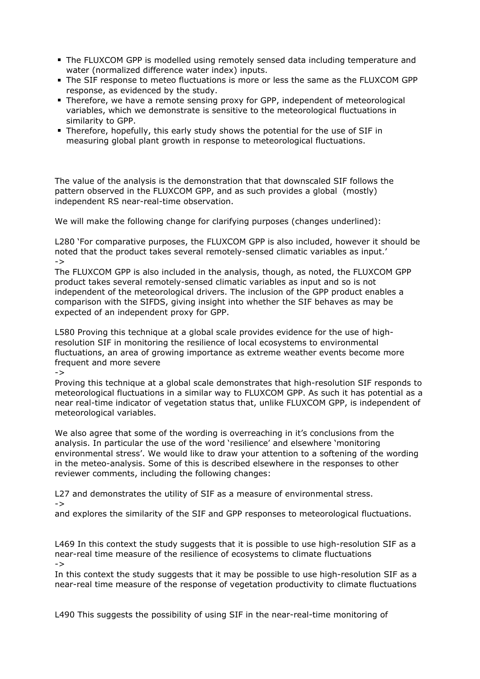- The FLUXCOM GPP is modelled using remotely sensed data including temperature and water (normalized difference water index) inputs.
- The SIF response to meteo fluctuations is more or less the same as the FLUXCOM GPP response, as evidenced by the study.
- **Therefore, we have a remote sensing proxy for GPP, independent of meteorological** variables, which we demonstrate is sensitive to the meteorological fluctuations in similarity to GPP.
- Therefore, hopefully, this early study shows the potential for the use of SIF in measuring global plant growth in response to meteorological fluctuations.

The value of the analysis is the demonstration that that downscaled SIF follows the pattern observed in the FLUXCOM GPP, and as such provides a global (mostly) independent RS near-real-time observation.

We will make the following change for clarifying purposes (changes underlined):

L280 'For comparative purposes, the FLUXCOM GPP is also included, however it should be noted that the product takes several remotely-sensed climatic variables as input.' ->

The FLUXCOM GPP is also included in the analysis, though, as noted, the FLUXCOM GPP product takes several remotely-sensed climatic variables as input and so is not independent of the meteorological drivers. The inclusion of the GPP product enables a comparison with the SIFDS, giving insight into whether the SIF behaves as may be expected of an independent proxy for GPP.

L580 Proving this technique at a global scale provides evidence for the use of highresolution SIF in monitoring the resilience of local ecosystems to environmental fluctuations, an area of growing importance as extreme weather events become more frequent and more severe

->

Proving this technique at a global scale demonstrates that high-resolution SIF responds to meteorological fluctuations in a similar way to FLUXCOM GPP. As such it has potential as a near real-time indicator of vegetation status that, unlike FLUXCOM GPP, is independent of meteorological variables.

We also agree that some of the wording is overreaching in it's conclusions from the analysis. In particular the use of the word 'resilience' and elsewhere 'monitoring environmental stress'. We would like to draw your attention to a softening of the wording in the meteo-analysis. Some of this is described elsewhere in the responses to other reviewer comments, including the following changes:

L27 and demonstrates the utility of SIF as a measure of environmental stress. ->

and explores the similarity of the SIF and GPP responses to meteorological fluctuations.

L469 In this context the study suggests that it is possible to use high-resolution SIF as a near-real time measure of the resilience of ecosystems to climate fluctuations ->

In this context the study suggests that it may be possible to use high-resolution SIF as a near-real time measure of the response of vegetation productivity to climate fluctuations

L490 This suggests the possibility of using SIF in the near-real-time monitoring of